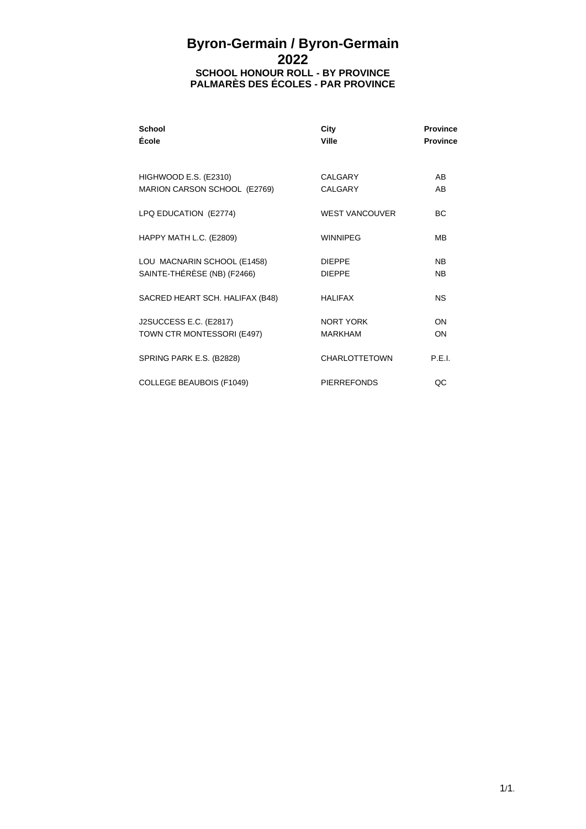## **Byron-Germain / Byron-Germain 2022 SCHOOL HONOUR ROLL - BY PROVINCE PALMARÈS DES ÉCOLES - PAR PROVINCE**

| School<br>École                                            | City<br><b>Ville</b>           | <b>Province</b><br><b>Province</b> |
|------------------------------------------------------------|--------------------------------|------------------------------------|
| HIGHWOOD E.S. (E2310)<br>MARION CARSON SCHOOL (E2769)      | CALGARY<br>CALGARY             | A <sub>B</sub><br>AB               |
| LPQ EDUCATION (E2774)                                      | <b>WEST VANCOUVER</b>          | BC.                                |
| HAPPY MATH L.C. (E2809)                                    | <b>WINNIPEG</b>                | M <sub>B</sub>                     |
| LOU MACNARIN SCHOOL (E1458)<br>SAINTE-THÉRÈSE (NB) (F2466) | <b>DIEPPE</b><br><b>DIFPPF</b> | <b>NB</b><br><b>NB</b>             |
| SACRED HEART SCH. HALIFAX (B48)                            | <b>HALIFAX</b>                 | <b>NS</b>                          |
| J2SUCCESS E.C. (E2817)<br>TOWN CTR MONTESSORI (E497)       | NORT YORK<br><b>MARKHAM</b>    | ON<br>ON                           |
| SPRING PARK E.S. (B2828)                                   | CHARLOTTETOWN                  | P.E.I.                             |
| <b>COLLEGE BEAUBOIS (F1049)</b>                            | <b>PIFRREFONDS</b>             | QC                                 |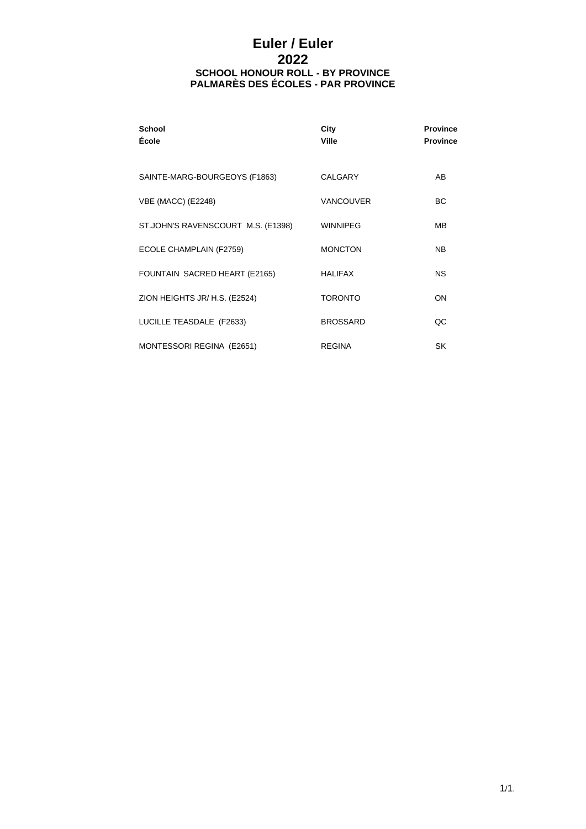# **Euler / Euler 2022 SCHOOL HONOUR ROLL - BY PROVINCE PALMARÈS DES ÉCOLES - PAR PROVINCE**

| <b>School</b><br>École             | City<br>Ville    | <b>Province</b><br><b>Province</b> |
|------------------------------------|------------------|------------------------------------|
| SAINTE-MARG-BOURGEOYS (F1863)      | CALGARY          | AB                                 |
| <b>VBE (MACC) (E2248)</b>          | <b>VANCOUVER</b> | <b>BC</b>                          |
| ST.JOHN'S RAVENSCOURT M.S. (E1398) | <b>WINNIPEG</b>  | MВ                                 |
| ECOLE CHAMPLAIN (F2759)            | <b>MONCTON</b>   | NB.                                |
| FOUNTAIN SACRED HEART (E2165)      | <b>HALIFAX</b>   | <b>NS</b>                          |
| ZION HEIGHTS JR/ H.S. (E2524)      | <b>TORONTO</b>   | ON                                 |
| LUCILLE TEASDALE (F2633)           | <b>BROSSARD</b>  | QC                                 |
| MONTESSORI REGINA (E2651)          | <b>REGINA</b>    | <b>SK</b>                          |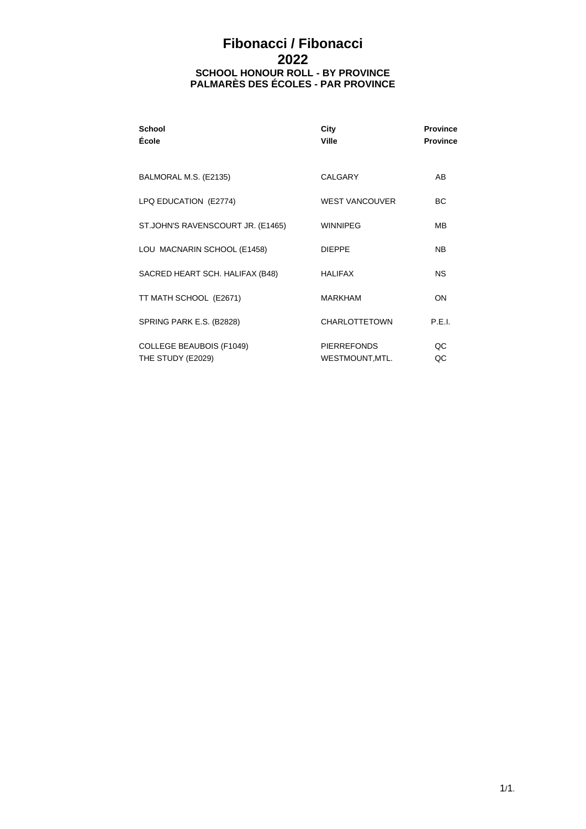# **Fibonacci / Fibonacci 2022 SCHOOL HONOUR ROLL - BY PROVINCE PALMARÈS DES ÉCOLES - PAR PROVINCE**

| <b>School</b><br>École                               | City<br>Ville                         | <b>Province</b><br><b>Province</b> |
|------------------------------------------------------|---------------------------------------|------------------------------------|
| BALMORAL M.S. (E2135)                                | <b>CALGARY</b>                        | AB                                 |
| LPQ EDUCATION (E2774)                                | <b>WEST VANCOUVER</b>                 | ВC                                 |
| ST.JOHN'S RAVENSCOURT JR. (E1465)                    | <b>WINNIPEG</b>                       | MВ                                 |
| LOU MACNARIN SCHOOL (E1458)                          | <b>DIFPPF</b>                         | N <sub>B</sub>                     |
| SACRED HEART SCH. HALIFAX (B48)                      | <b>HALIFAX</b>                        | NS.                                |
| TT MATH SCHOOL (E2671)                               | <b>MARKHAM</b>                        | ON                                 |
| SPRING PARK E.S. (B2828)                             | <b>CHARLOTTETOWN</b>                  | P.E.I.                             |
| <b>COLLEGE BEAUBOIS (F1049)</b><br>THE STUDY (E2029) | <b>PIERREFONDS</b><br>WESTMOUNT, MTL. | QC<br>QC                           |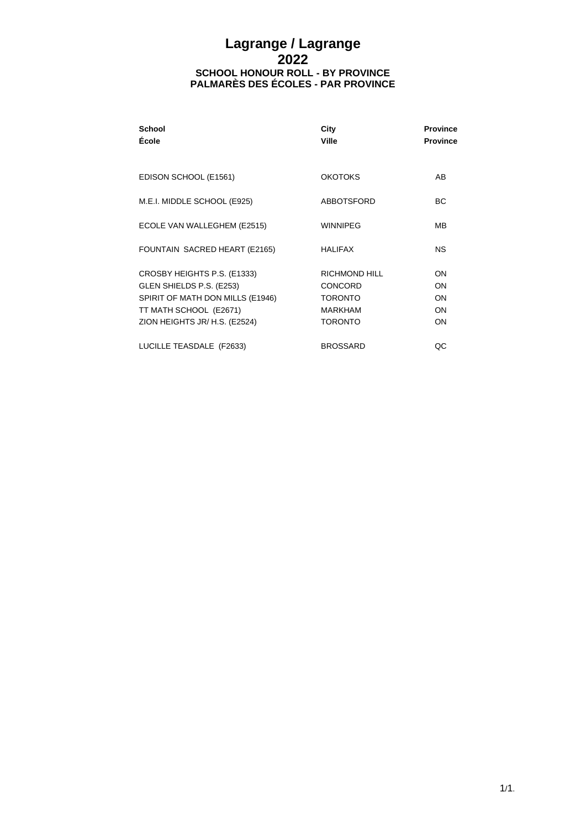### **Lagrange / Lagrange 2022 SCHOOL HONOUR ROLL - BY PROVINCE PALMARÈS DES ÉCOLES - PAR PROVINCE**

| School<br>École                                                                                                                                        | City<br><b>Ville</b>                                                                  | <b>Province</b><br><b>Province</b> |
|--------------------------------------------------------------------------------------------------------------------------------------------------------|---------------------------------------------------------------------------------------|------------------------------------|
| EDISON SCHOOL (E1561)                                                                                                                                  | <b>OKOTOKS</b>                                                                        | A <sub>B</sub>                     |
| M.E.I. MIDDLE SCHOOL (E925)                                                                                                                            | <b>ABBOTSFORD</b>                                                                     | ВC                                 |
| ECOLE VAN WALLEGHEM (E2515)                                                                                                                            | <b>WINNIPEG</b>                                                                       | MВ                                 |
| FOUNTAIN SACRED HEART (E2165)                                                                                                                          | <b>HALIFAX</b>                                                                        | NS.                                |
| CROSBY HEIGHTS P.S. (E1333)<br>GLEN SHIELDS P.S. (E253)<br>SPIRIT OF MATH DON MILLS (E1946)<br>TT MATH SCHOOL (E2671)<br>ZION HEIGHTS JR/ H.S. (E2524) | RICHMOND HILL<br><b>CONCORD</b><br><b>TORONTO</b><br><b>MARKHAM</b><br><b>TORONTO</b> | ON<br>ON<br>ON<br>ON<br>ON         |
| LUCILLE TEASDALE (F2633)                                                                                                                               | <b>BROSSARD</b>                                                                       | QC                                 |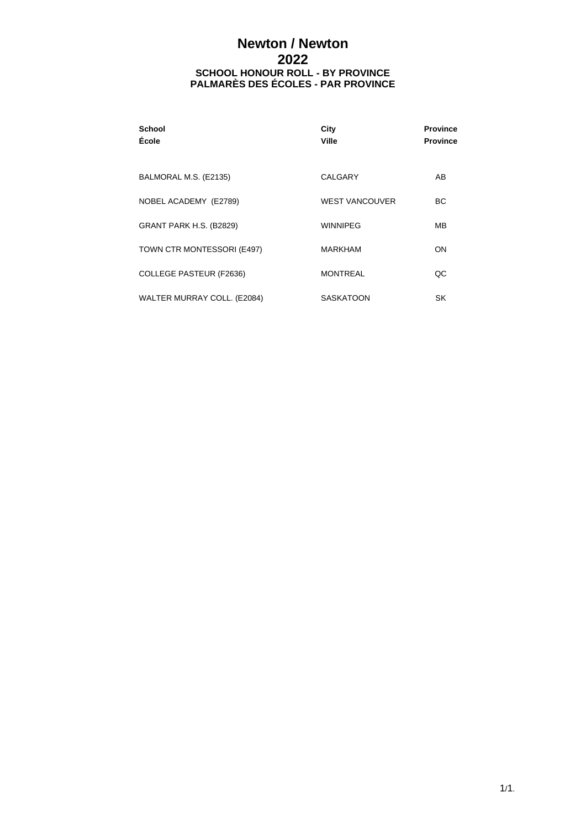# **Newton / Newton 2022 SCHOOL HONOUR ROLL - BY PROVINCE PALMARÈS DES ÉCOLES - PAR PROVINCE**

| <b>School</b><br>École      | City<br>Ville         | <b>Province</b><br><b>Province</b> |
|-----------------------------|-----------------------|------------------------------------|
| BALMORAL M.S. (E2135)       | CALGARY               | AB                                 |
| NOBEL ACADEMY (E2789)       | <b>WEST VANCOUVER</b> | <b>BC</b>                          |
| GRANT PARK H.S. (B2829)     | <b>WINNIPEG</b>       | MВ                                 |
| TOWN CTR MONTESSORI (E497)  | <b>MARKHAM</b>        | ON                                 |
| COLLEGE PASTEUR (F2636)     | <b>MONTREAL</b>       | QC                                 |
| WALTER MURRAY COLL. (E2084) | <b>SASKATOON</b>      | SK                                 |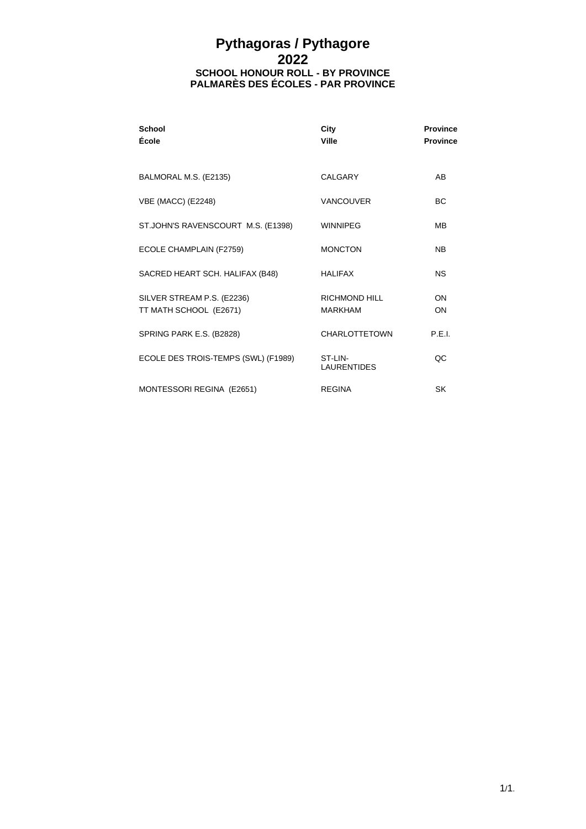### **Pythagoras / Pythagore 2022 SCHOOL HONOUR ROLL - BY PROVINCE PALMARÈS DES ÉCOLES - PAR PROVINCE**

| <b>School</b><br>École                               | City<br>Ville                   | <b>Province</b><br><b>Province</b> |
|------------------------------------------------------|---------------------------------|------------------------------------|
| BALMORAL M.S. (E2135)                                | CALGARY                         | AB                                 |
| <b>VBE (MACC) (E2248)</b>                            | <b>VANCOUVER</b>                | <b>BC</b>                          |
| ST.JOHN'S RAVENSCOURT M.S. (E1398)                   | <b>WINNIPEG</b>                 | MВ                                 |
| ECOLE CHAMPLAIN (F2759)                              | <b>MONCTON</b>                  | <b>NB</b>                          |
| SACRED HEART SCH. HALIFAX (B48)                      | <b>HALIFAX</b>                  | <b>NS</b>                          |
| SILVER STREAM P.S. (E2236)<br>TT MATH SCHOOL (E2671) | RICHMOND HILL<br><b>MARKHAM</b> | <b>ON</b><br>ON                    |
| SPRING PARK E.S. (B2828)                             | <b>CHARLOTTETOWN</b>            | P.F.L                              |
| ECOLE DES TROIS-TEMPS (SWL) (F1989)                  | ST-LIN-<br><b>LAURENTIDES</b>   | QC                                 |
| MONTESSORI REGINA (E2651)                            | <b>REGINA</b>                   | SK                                 |